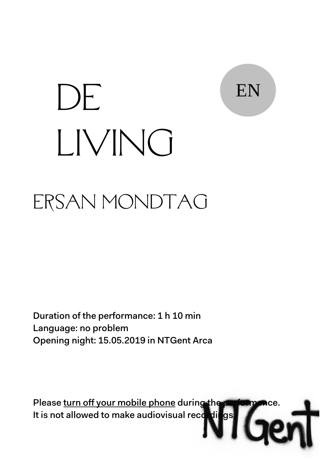

# ERSAN MONDTAG DE LIVING

Duration of the performance: 1 h 10 min Language: no problem Opening night: 15.05.2019 in NTGent Arca

Please turn off your mobile phone during the It is not allowed to make audiovisual recordings.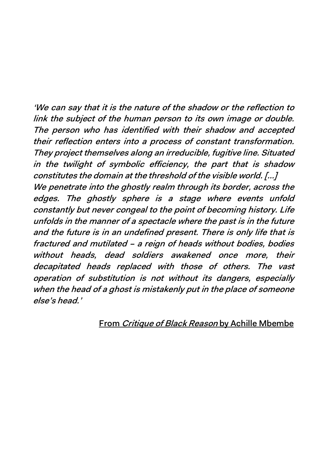'We can say that it is the nature of the shadow or the reflection to link the subject of the human person to its own image or double. The person who has identified with their shadow and accepted their reflection enters into a process of constant transformation. They project themselves along an irreducible, fugitive line. Situated in the twilight of symbolic efficiency, the part that is shadow constitutes the domain at the threshold of the visible world. [...] We penetrate into the ghostly realm through its border, across the edges. The ghostly sphere is a stage where events unfold constantly but never congeal to the point of becoming history. Life unfolds in the manner of a spectacle where the past is in the future and the future is in an undefined present. There is only life that is fractured and mutilated – a reign of heads without bodies, bodies without heads, dead soldiers awakened once more, their decapitated heads replaced with those of others. The vast operation of substitution is not without its dangers, especially when the head of a ghost is mistakenly put in the place of someone else's head.'

#### From Critique of Black Reason by Achille Mbembe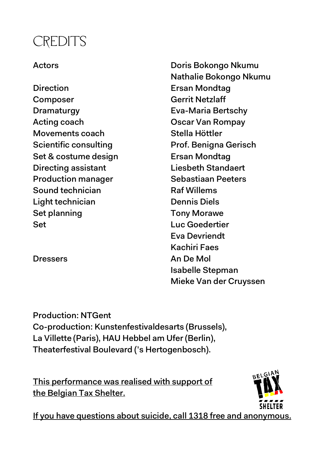#### **CREDITS**

Direction Ersan Mondtag Composer Gerrit Netzlaff Dramaturgy Eva-Maria Bertschy Acting coach Oscar Van Rompay Movements coach Stella Höttler Set & costume design Ersan Mondtag Directing assistant Liesbeth Standaert Production manager Sebastiaan Peeters Sound technician Raf Willems Light technician Dennis Diels Set planning Tony Morawe Set Luc Goedertier

Actors Doris Bokongo Nkumu Nathalie Bokongo Nkumu Scientific consulting Prof. Benigna Gerisch Eva Devriendt Kachiri Faes Dressers An De Mol Isabelle Stepman Mieke Van der Cruyssen

Production: NTGent Co-production: Kunstenfestivaldesarts (Brussels), La Villette (Paris), HAU Hebbel am Ufer (Berlin), Theaterfestival Boulevard ('s Hertogenbosch).

This performance was realised with support of the Belgian Tax Shelter.



If you have questions about suicide, call 1318 free and anonymous.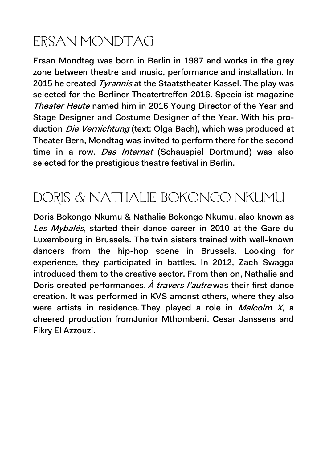## ERSAN MONDTAG

Ersan Mondtag was born in Berlin in 1987 and works in the grey zone between theatre and music, performance and installation. In 2015 he created Tyrannis at the Staatstheater Kassel. The play was selected for the Berliner Theatertreffen 2016. Specialist magazine Theater Heute named him in 2016 Young Director of the Year and Stage Designer and Costume Designer of the Year. With his production *Die Vernichtung* (text: Olga Bach), which was produced at Theater Bern, Mondtag was invited to perform there for the second time in a row. Das Internat (Schauspiel Dortmund) was also selected for the prestigious theatre festival in Berlin.

#### DORIS & NATHALIE BOKONGO NKUMU

Doris Bokongo Nkumu & Nathalie Bokongo Nkumu, also known as Les Mybalés, started their dance career in 2010 at the Gare du Luxembourg in Brussels. The twin sisters trained with well-known dancers from the hip-hop scene in Brussels. Looking for experience, they participated in battles. In 2012, Zach Swagga introduced them to the creative sector. From then on, Nathalie and Doris created performances.  $\dot{A}$  travers l'autre was their first dance creation. It was performed in KVS amonst others, where they also were artists in residence. They played a role in *Malcolm X*, a cheered production fromJunior Mthombeni, Cesar Janssens and Fikry El Azzouzi.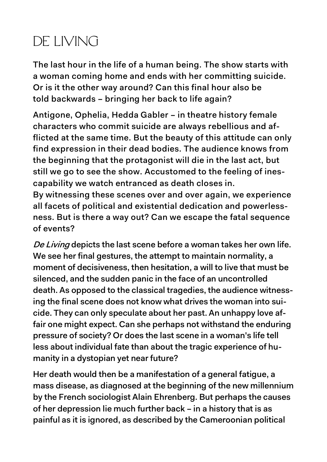### DE LIVING

The last hour in the life of a human being. The show starts with a woman coming home and ends with her committing suicide. Or is it the other way around? Can this final hour also be told backwards – bringing her back to life again?

Antigone, Ophelia, Hedda Gabler – in theatre history female characters who commit suicide are always rebellious and afflicted at the same time. But the beauty of this attitude can only find expression in their dead bodies. The audience knows from the beginning that the protagonist will die in the last act, but still we go to see the show. Accustomed to the feeling of inescapability we watch entranced as death closes in. By witnessing these scenes over and over again, we experience

all facets of political and existential dedication and powerlessness. But is there a way out? Can we escape the fatal sequence of events?

De Living depicts the last scene before a woman takes her own life. We see her final gestures, the attempt to maintain normality, a moment of decisiveness, then hesitation, a will to live that must be silenced, and the sudden panic in the face of an uncontrolled death. As opposed to the classical tragedies, the audience witnessing the final scene does not know what drives the woman into suicide. They can only speculate about her past. An unhappy love affair one might expect. Can she perhaps not withstand the enduring pressure of society? Or does the last scene in a woman's life tell less about individual fate than about the tragic experience of humanity in a dystopian yet near future?

Her death would then be a manifestation of a general fatigue, a mass disease, as diagnosed at the beginning of the new millennium by the French sociologist Alain Ehrenberg. But perhaps the causes of her depression lie much further back – in a history that is as painful as it is ignored, as described by the Cameroonian political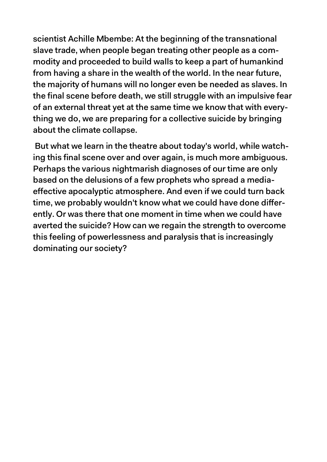scientist Achille Mbembe: At the beginning of the transnational slave trade, when people began treating other people as a commodity and proceeded to build walls to keep a part of humankind from having a share in the wealth of the world. In the near future, the majority of humans will no longer even be needed as slaves. In the final scene before death, we still struggle with an impulsive fear of an external threat yet at the same time we know that with everything we do, we are preparing for a collective suicide by bringing about the climate collapse.

But what we learn in the theatre about today's world, while watching this final scene over and over again, is much more ambiguous. Perhaps the various nightmarish diagnoses of our time are only based on the delusions of a few prophets who spread a mediaeffective apocalyptic atmosphere. And even if we could turn back time, we probably wouldn't know what we could have done differently. Or was there that one moment in time when we could have averted the suicide? How can we regain the strength to overcome this feeling of powerlessness and paralysis that is increasingly dominating our society?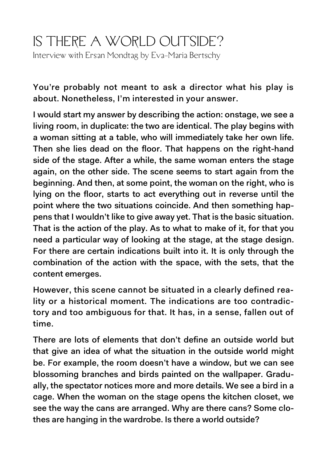#### IS THERE A WORLD OUTSIDE? Interview with Ersan Mondtag by Eva-Maria Bertschy

You're probably not meant to ask a director what his play is about. Nonetheless, I'm interested in your answer.

I would start my answer by describing the action: onstage, we see a living room, in duplicate: the two are identical. The play begins with a woman sitting at a table, who will immediately take her own life. Then she lies dead on the floor. That happens on the right-hand side of the stage. After a while, the same woman enters the stage again, on the other side. The scene seems to start again from the beginning. And then, at some point, the woman on the right, who is lying on the floor, starts to act everything out in reverse until the point where the two situations coincide. And then something happens that I wouldn't like to give away yet. That is the basic situation. That is the action of the play. As to what to make of it, for that you need a particular way of looking at the stage, at the stage design. For there are certain indications built into it. It is only through the combination of the action with the space, with the sets, that the content emerges.

However, this scene cannot be situated in a clearly defined reality or a historical moment. The indications are too contradictory and too ambiguous for that. It has, in a sense, fallen out of time.

There are lots of elements that don't define an outside world but that give an idea of what the situation in the outside world might be. For example, the room doesn't have a window, but we can see blossoming branches and birds painted on the wallpaper. Gradually, the spectator notices more and more details. We see a bird in a cage. When the woman on the stage opens the kitchen closet, we see the way the cans are arranged. Why are there cans? Some clothes are hanging in the wardrobe. Is there a world outside?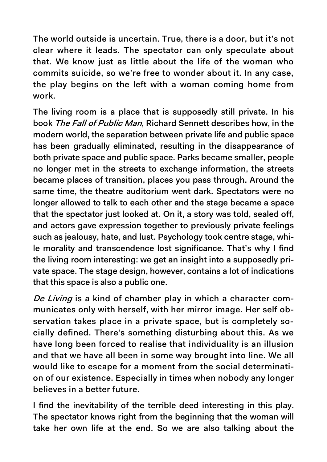The world outside is uncertain. True, there is a door, but it's not clear where it leads. The spectator can only speculate about that. We know just as little about the life of the woman who commits suicide, so we're free to wonder about it. In any case, the play begins on the left with a woman coming home from work.

The living room is a place that is supposedly still private. In his book The Fall of Public Man, Richard Sennett describes how, in the modern world, the separation between private life and public space has been gradually eliminated, resulting in the disappearance of both private space and public space. Parks became smaller, people no longer met in the streets to exchange information, the streets became places of transition, places you pass through. Around the same time, the theatre auditorium went dark. Spectators were no longer allowed to talk to each other and the stage became a space that the spectator just looked at. On it, a story was told, sealed off, and actors gave expression together to previously private feelings such as jealousy, hate, and lust. Psychology took centre stage, while morality and transcendence lost significance. That's why I find the living room interesting: we get an insight into a supposedly private space. The stage design, however, contains a lot of indications that this space is also a public one.

De Living is a kind of chamber play in which a character communicates only with herself, with her mirror image. Her self observation takes place in a private space, but is completely socially defined. There's something disturbing about this. As we have long been forced to realise that individuality is an illusion and that we have all been in some way brought into line. We all would like to escape for a moment from the social determination of our existence. Especially in times when nobody any longer believes in a better future.

I find the inevitability of the terrible deed interesting in this play. The spectator knows right from the beginning that the woman will take her own life at the end. So we are also talking about the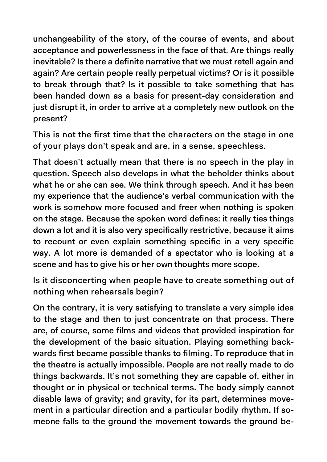unchangeability of the story, of the course of events, and about acceptance and powerlessness in the face of that. Are things really inevitable? Is there a definite narrative that we must retell again and again? Are certain people really perpetual victims? Or is it possible to break through that? Is it possible to take something that has been handed down as a basis for present-day consideration and just disrupt it, in order to arrive at a completely new outlook on the present?

This is not the first time that the characters on the stage in one of your plays don't speak and are, in a sense, speechless.

That doesn't actually mean that there is no speech in the play in question. Speech also develops in what the beholder thinks about what he or she can see. We think through speech. And it has been my experience that the audience's verbal communication with the work is somehow more focused and freer when nothing is spoken on the stage. Because the spoken word defines: it really ties things down a lot and it is also very specifically restrictive, because it aims to recount or even explain something specific in a very specific way. A lot more is demanded of a spectator who is looking at a scene and has to give his or her own thoughts more scope.

Is it disconcerting when people have to create something out of nothing when rehearsals begin?

On the contrary, it is very satisfying to translate a very simple idea to the stage and then to just concentrate on that process. There are, of course, some films and videos that provided inspiration for the development of the basic situation. Playing something backwards first became possible thanks to filming. To reproduce that in the theatre is actually impossible. People are not really made to do things backwards. It's not something they are capable of, either in thought or in physical or technical terms. The body simply cannot disable laws of gravity; and gravity, for its part, determines movement in a particular direction and a particular bodily rhythm. If someone falls to the ground the movement towards the ground be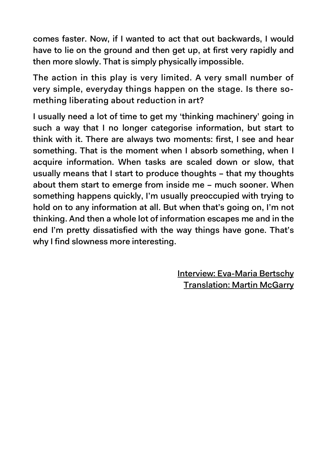comes faster. Now, if I wanted to act that out backwards, I would have to lie on the ground and then get up, at first very rapidly and then more slowly. That is simply physically impossible.

The action in this play is very limited. A very small number of very simple, everyday things happen on the stage. Is there something liberating about reduction in art?

I usually need a lot of time to get my 'thinking machinery' going in such a way that I no longer categorise information, but start to think with it. There are always two moments: first, I see and hear something. That is the moment when I absorb something, when I acquire information. When tasks are scaled down or slow, that usually means that I start to produce thoughts – that my thoughts about them start to emerge from inside me – much sooner. When something happens quickly, I'm usually preoccupied with trying to hold on to any information at all. But when that's going on, I'm not thinking. And then a whole lot of information escapes me and in the end I'm pretty dissatisfied with the way things have gone. That's why I find slowness more interesting.

> Interview: Eva-Maria Bertschy Translation: Martin McGarry